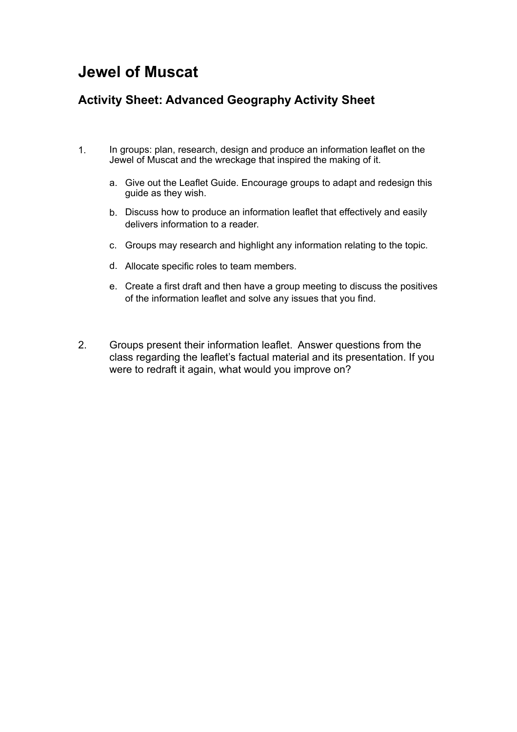## **Jewel of Muscat**

## **Activity Sheet: Advanced Geography Activity Sheet**

- 1. In groups: plan, research, design and produce an information leaflet on the Jewel of Muscat and the wreckage that inspired the making of it.
	- a. Give out the Leaflet Guide. Encourage groups to adapt and redesign this guide as they wish.
	- b. Discuss how to produce an information leaflet that effectively and easily delivers information to a reader.
	- c. Groups may research and highlight any information relating to the topic.
	- d. Allocate specific roles to team members.
	- e. Create a first draft and then have a group meeting to discuss the positives of the information leaflet and solve any issues that you find.
- 2. Groups present their information leaflet. Answer questions from the class regarding the leaflet's factual material and its presentation. If you were to redraft it again, what would you improve on?